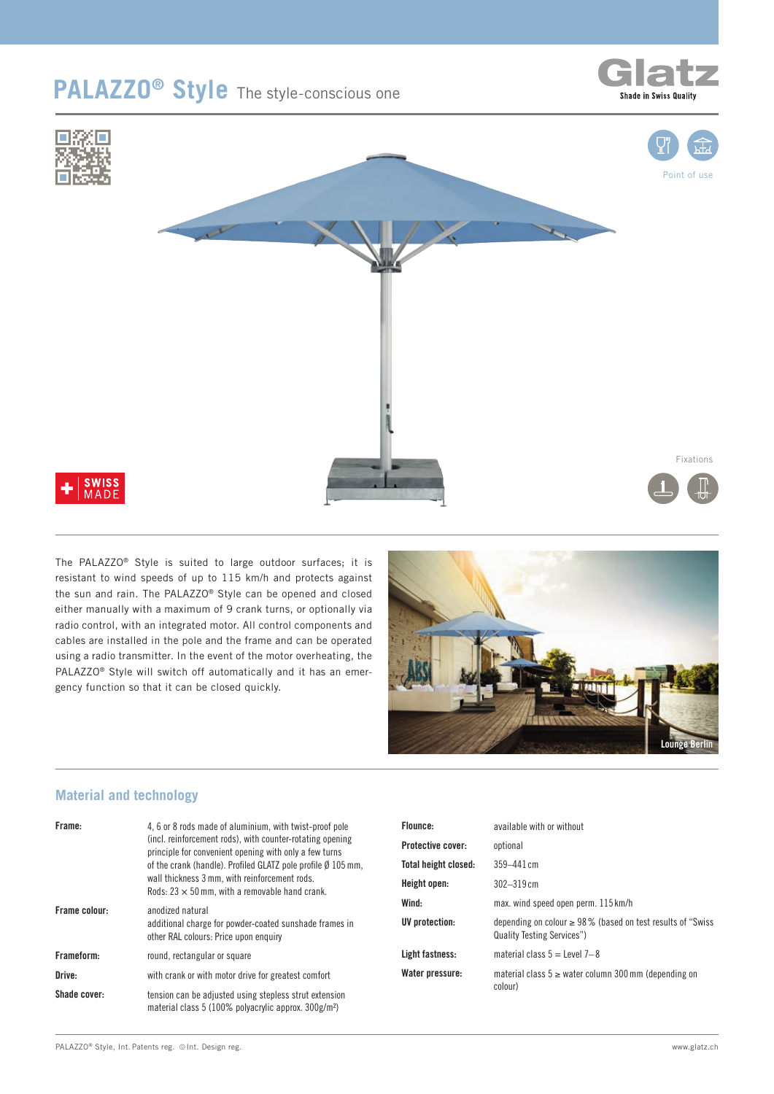# **PALAZZO® Style** The style-conscious one





The PALAZZO® Style is suited to large outdoor surfaces; it is resistant to wind speeds of up to 115 km/h and protects against the sun and rain. The PALAZZO® Style can be opened and closed either manually with a maximum of 9 crank turns, or optionally via radio control, with an integrated motor. All control components and cables are installed in the pole and the frame and can be operated using a radio transmitter. In the event of the motor overheating, the PALAZZO® Style will switch off automatically and it has an emergency function so that it can be closed quickly.



#### **Material and technology**

| Frame:              | 4, 6 or 8 rods made of aluminium, with twist-proof pole<br>(incl. reinforcement rods), with counter-rotating opening<br>principle for convenient opening with only a few turns<br>of the crank (handle). Profiled GLATZ pole profile $\emptyset$ 105 mm,<br>wall thickness 3 mm, with reinforcement rods.<br>Rods: $23 \times 50$ mm, with a removable hand crank. |
|---------------------|--------------------------------------------------------------------------------------------------------------------------------------------------------------------------------------------------------------------------------------------------------------------------------------------------------------------------------------------------------------------|
| Frame colour:       | anodized natural<br>additional charge for powder-coated sunshade frames in<br>other RAL colours: Price upon enquiry                                                                                                                                                                                                                                                |
| Frameform:          | round, rectangular or square                                                                                                                                                                                                                                                                                                                                       |
| Drive:              | with crank or with motor drive for greatest comfort                                                                                                                                                                                                                                                                                                                |
| <b>Shade cover:</b> | tension can be adjusted using stepless strut extension<br>material class 5 (100% polyacrylic approx. 300g/m <sup>2</sup> )                                                                                                                                                                                                                                         |

| Flounce:                 | available with or without                                                                              |
|--------------------------|--------------------------------------------------------------------------------------------------------|
| <b>Protective cover:</b> | optional                                                                                               |
| Total height closed:     | $359 - 441$ cm                                                                                         |
| Height open:             | $302 - 319$ cm                                                                                         |
| Wind:                    | max. wind speed open perm. 115 km/h                                                                    |
| UV protection:           | depending on colour $\geq 98\%$ (based on test results of "Swiss"<br><b>Quality Testing Services")</b> |
| Light fastness:          | material class $5 =$ Level 7-8                                                                         |
| Water pressure:          | material class $5 \geq$ water column 300 mm (depending on<br>colour)                                   |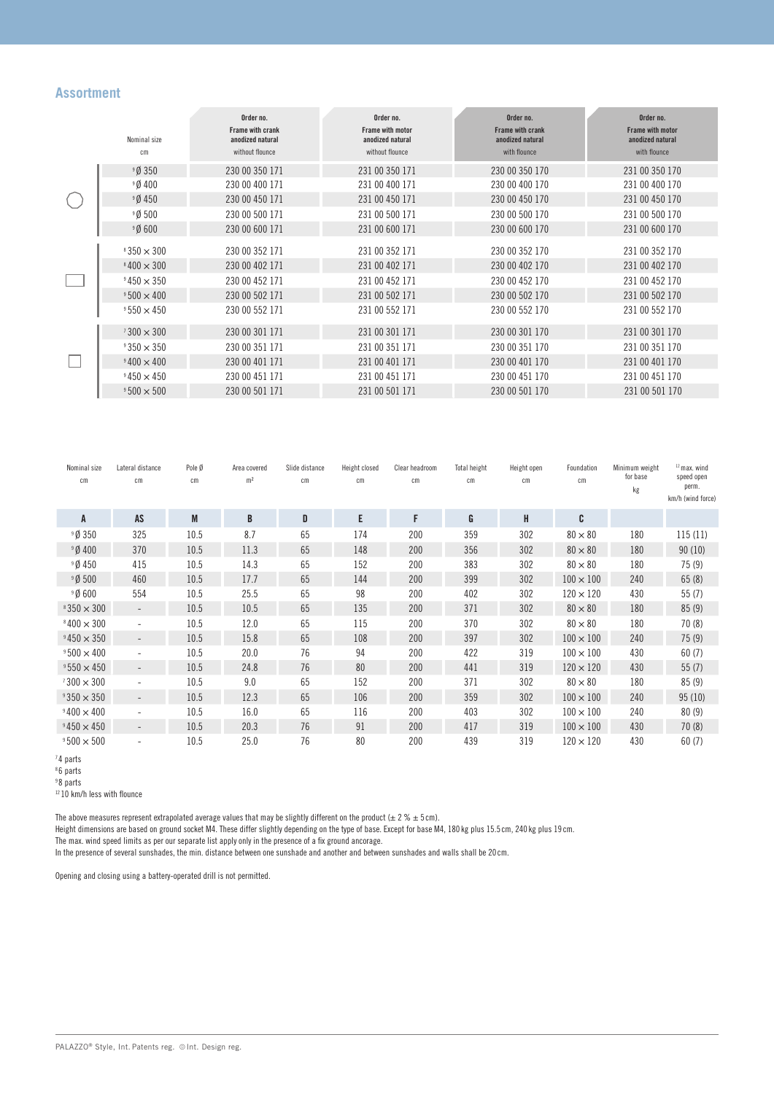#### **Assortment**

|  |                   | Order no.                            | Order no.                                   | Order no.                            | Order no.                                   |
|--|-------------------|--------------------------------------|---------------------------------------------|--------------------------------------|---------------------------------------------|
|  | Nominal size      | Frame with crank<br>anodized natural | <b>Frame with motor</b><br>anodized natural | Frame with crank<br>anodized natural | <b>Frame with motor</b><br>anodized natural |
|  | cm                | without flounce                      | without flounce                             | with flounce                         | with flounce                                |
|  | 90350             | 230 00 350 171                       | 231 00 350 171                              | 230 00 350 170                       | 231 00 350 170                              |
|  | 90400             | 230 00 400 171                       | 231 00 400 171                              | 230 00 400 170                       | 231 00 400 170                              |
|  | 90450             | 230 00 450 171                       | 231 00 450 171                              | 230 00 450 170                       | 231 00 450 170                              |
|  | 90500             | 230 00 500 171                       | 231 00 500 171                              | 230 00 500 170                       | 231 00 500 170                              |
|  | 90600             | 230 00 600 171                       | 231 00 600 171                              | 230 00 600 170                       | 231 00 600 170                              |
|  | $8350 \times 300$ | 230 00 352 171                       | 231 00 352 171                              | 230 00 352 170                       | 231 00 352 170                              |
|  | $8400 \times 300$ | 230 00 402 171                       | 231 00 402 171                              | 230 00 402 170                       | 231 00 402 170                              |
|  | $9450 \times 350$ | 230 00 452 171                       | 231 00 452 171                              | 230 00 452 170                       | 231 00 452 170                              |
|  | $9500 \times 400$ | 230 00 502 171                       | 231 00 502 171                              | 230 00 502 170                       | 231 00 502 170                              |
|  | $9550 \times 450$ | 230 00 552 171                       | 231 00 552 171                              | 230 00 552 170                       | 231 00 552 170                              |
|  | $1300 \times 300$ | 230 00 301 171                       | 231 00 301 171                              | 230 00 301 170                       | 231 00 301 170                              |
|  | $9350 \times 350$ | 230 00 351 171                       | 231 00 351 171                              | 230 00 351 170                       | 231 00 351 170                              |
|  | $9400 \times 400$ | 230 00 401 171                       | 231 00 401 171                              | 230 00 401 170                       | 231 00 401 170                              |
|  | $9450 \times 450$ | 230 00 451 171                       | 231 00 451 171                              | 230 00 451 170                       | 231 00 451 170                              |
|  | $9500 \times 500$ | 230 00 501 171                       | 231 00 501 171                              | 230 00 501 170                       | 231 00 501 170                              |

| Nominal size<br>$\rm cm$ | Lateral distance<br>$\mathsf{cm}$ | Pole Ø<br>$\rm cm$ | Area covered<br>m <sup>2</sup> | Slide distance<br>$\rm cm$ | Height closed<br>cm | Clear headroom<br>cm | Total height<br>$\rm cm$ | Height open<br>$\rm cm$ | Foundation<br>cm | Minimum weight<br>for base<br>kg | $12$ max, wind<br>speed open<br>perm.<br>km/h (wind force) |
|--------------------------|-----------------------------------|--------------------|--------------------------------|----------------------------|---------------------|----------------------|--------------------------|-------------------------|------------------|----------------------------------|------------------------------------------------------------|
| A                        | AS                                | M                  | B                              | D                          | E                   | F                    | G                        | H                       | C                |                                  |                                                            |
| 9Ø 350                   | 325                               | 10.5               | 8.7                            | 65                         | 174                 | 200                  | 359                      | 302                     | $80 \times 80$   | 180                              | 115(11)                                                    |
| <sup>9</sup> Ø 400       | 370                               | 10.5               | 11.3                           | 65                         | 148                 | 200                  | 356                      | 302                     | $80 \times 80$   | 180                              | 90(10)                                                     |
| <sup>9</sup> Ø450        | 415                               | 10.5               | 14.3                           | 65                         | 152                 | 200                  | 383                      | 302                     | $80 \times 80$   | 180                              | 75(9)                                                      |
| 9Ø 500                   | 460                               | 10.5               | 17.7                           | 65                         | 144                 | 200                  | 399                      | 302                     | $100 \times 100$ | 240                              | 65(8)                                                      |
| 90600                    | 554                               | 10.5               | 25.5                           | 65                         | 98                  | 200                  | 402                      | 302                     | $120 \times 120$ | 430                              | 55(7)                                                      |
| $8350 \times 300$        |                                   | 10.5               | 10.5                           | 65                         | 135                 | 200                  | 371                      | 302                     | $80 \times 80$   | 180                              | 85(9)                                                      |
| $8400 \times 300$        | $\overline{\phantom{a}}$          | 10.5               | 12.0                           | 65                         | 115                 | 200                  | 370                      | 302                     | $80 \times 80$   | 180                              | 70(8)                                                      |
| $9450 \times 350$        |                                   | 10.5               | 15.8                           | 65                         | 108                 | 200                  | 397                      | 302                     | $100 \times 100$ | 240                              | 75(9)                                                      |
| $9500 \times 400$        | $\overline{\phantom{a}}$          | 10.5               | 20.0                           | 76                         | 94                  | 200                  | 422                      | 319                     | $100 \times 100$ | 430                              | 60(7)                                                      |
| $9550 \times 450$        | $\overline{\phantom{a}}$          | 10.5               | 24.8                           | 76                         | 80                  | 200                  | 441                      | 319                     | $120 \times 120$ | 430                              | 55(7)                                                      |
| $1300 \times 300$        | $\overline{\phantom{a}}$          | 10.5               | 9.0                            | 65                         | 152                 | 200                  | 371                      | 302                     | $80 \times 80$   | 180                              | 85(9)                                                      |
| $9350 \times 350$        | $\overline{\phantom{a}}$          | 10.5               | 12.3                           | 65                         | 106                 | 200                  | 359                      | 302                     | $100 \times 100$ | 240                              | 95(10)                                                     |
| $9400 \times 400$        |                                   | 10.5               | 16.0                           | 65                         | 116                 | 200                  | 403                      | 302                     | $100 \times 100$ | 240                              | 80(9)                                                      |
| $9450 \times 450$        | $\overline{\phantom{a}}$          | 10.5               | 20.3                           | 76                         | 91                  | 200                  | 417                      | 319                     | $100 \times 100$ | 430                              | 70(8)                                                      |
| $9500 \times 500$        |                                   | 10.5               | 25.0                           | 76                         | 80                  | 200                  | 439                      | 319                     | $120 \times 120$ | 430                              | 60(7)                                                      |

<sup>7</sup> 4 parts

<sup>8</sup> 6 parts

<sup>9</sup> 8 parts

<sup>12</sup> 10 km/h less with flounce

The above measures represent extrapolated average values that may be slightly different on the product (± 2 %  $\pm$  5 cm).

Height dimensions are based on ground socket M4. These differ slightly depending on the type of base. Except for base M4, 180 kg plus 15.5 cm, 240 kg plus 19 cm.

The max. wind speed limits as per our separate list apply only in the presence of a fix ground ancorage.

In the presence of several sunshades, the min. distance between one sunshade and another and between sunshades and walls shall be 20 cm.

Opening and closing using a battery-operated drill is not permitted.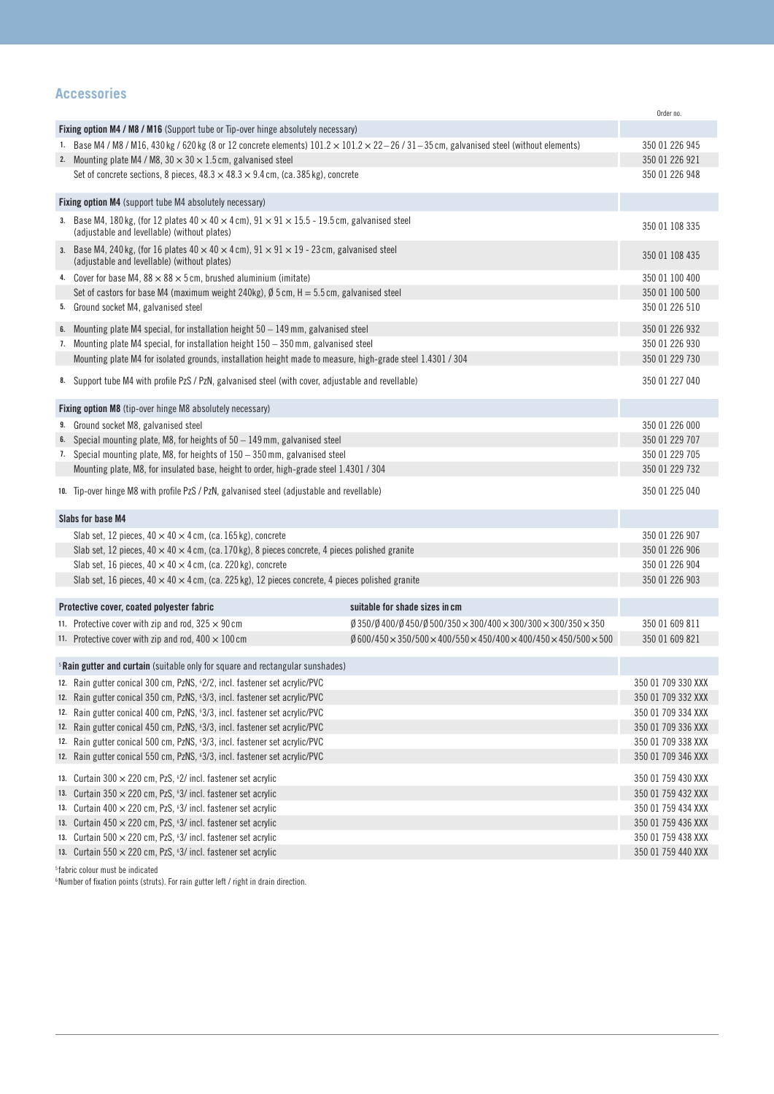### **Accessories**

|                                                                                                                |                                                                                                                                                                        |                                                                                                                                            | Order no.                                |  |  |
|----------------------------------------------------------------------------------------------------------------|------------------------------------------------------------------------------------------------------------------------------------------------------------------------|--------------------------------------------------------------------------------------------------------------------------------------------|------------------------------------------|--|--|
|                                                                                                                | Fixing option M4 / M8 / M16 (Support tube or Tip-over hinge absolutely necessary)                                                                                      |                                                                                                                                            |                                          |  |  |
|                                                                                                                | 1. Base M4 / M8 / M16, 430 kg / 620 kg (8 or 12 concrete elements) $101.2 \times 101.2 \times 22 - 26$ / 31 - 35 cm, galvanised steel (without elements)               | 350 01 226 945                                                                                                                             |                                          |  |  |
|                                                                                                                | 2. Mounting plate M4 / M8, $30 \times 30 \times 1.5$ cm, galvanised steel                                                                                              | 350 01 226 921                                                                                                                             |                                          |  |  |
|                                                                                                                | Set of concrete sections, 8 pieces, $48.3 \times 48.3 \times 9.4$ cm, (ca. 385 kg), concrete                                                                           |                                                                                                                                            | 350 01 226 948                           |  |  |
|                                                                                                                |                                                                                                                                                                        |                                                                                                                                            |                                          |  |  |
| Fixing option M4 (support tube M4 absolutely necessary)                                                        |                                                                                                                                                                        |                                                                                                                                            |                                          |  |  |
|                                                                                                                | 3. Base M4, 180 kg, (for 12 plates $40 \times 40 \times 4$ cm), $91 \times 91 \times 15.5$ - 19.5 cm, galvanised steel<br>(adjustable and levellable) (without plates) |                                                                                                                                            | 350 01 108 335                           |  |  |
|                                                                                                                | 3. Base M4, 240 kg, (for 16 plates $40 \times 40 \times 4$ cm), $91 \times 91 \times 19$ - 23 cm, galvanised steel<br>(adjustable and levellable) (without plates)     |                                                                                                                                            | 350 01 108 435                           |  |  |
|                                                                                                                | 4. Cover for base M4, $88 \times 88 \times 5$ cm, brushed aluminium (imitate)                                                                                          |                                                                                                                                            | 350 01 100 400                           |  |  |
|                                                                                                                | Set of castors for base M4 (maximum weight 240kg), $\emptyset$ 5 cm, H = 5.5 cm, galvanised steel                                                                      |                                                                                                                                            | 350 01 100 500                           |  |  |
|                                                                                                                | 5. Ground socket M4, galvanised steel                                                                                                                                  |                                                                                                                                            | 350 01 226 510                           |  |  |
|                                                                                                                | 6. Mounting plate M4 special, for installation height 50 – 149 mm, galvanised steel                                                                                    |                                                                                                                                            | 350 01 226 932                           |  |  |
|                                                                                                                | 7. Mounting plate M4 special, for installation height 150 – 350 mm, galvanised steel                                                                                   |                                                                                                                                            | 350 01 226 930                           |  |  |
|                                                                                                                | Mounting plate M4 for isolated grounds, installation height made to measure, high-grade steel 1.4301 / 304                                                             |                                                                                                                                            | 350 01 229 730                           |  |  |
|                                                                                                                |                                                                                                                                                                        |                                                                                                                                            |                                          |  |  |
|                                                                                                                | 8. Support tube M4 with profile PzS / PzN, galvanised steel (with cover, adjustable and revellable)                                                                    |                                                                                                                                            | 350 01 227 040                           |  |  |
|                                                                                                                | Fixing option M8 (tip-over hinge M8 absolutely necessary)                                                                                                              |                                                                                                                                            |                                          |  |  |
|                                                                                                                | 9. Ground socket M8, galvanised steel                                                                                                                                  |                                                                                                                                            | 350 01 226 000                           |  |  |
|                                                                                                                | 6. Special mounting plate, M8, for heights of 50 – 149 mm, galvanised steel                                                                                            |                                                                                                                                            | 350 01 229 707                           |  |  |
|                                                                                                                | 7. Special mounting plate, M8, for heights of 150 – 350 mm, galvanised steel                                                                                           |                                                                                                                                            | 350 01 229 705                           |  |  |
|                                                                                                                | Mounting plate, M8, for insulated base, height to order, high-grade steel 1.4301 / 304                                                                                 |                                                                                                                                            | 350 01 229 732                           |  |  |
|                                                                                                                |                                                                                                                                                                        |                                                                                                                                            |                                          |  |  |
|                                                                                                                | 10. Tip-over hinge M8 with profile PzS / PzN, galvanised steel (adjustable and revellable)                                                                             |                                                                                                                                            | 350 01 225 040                           |  |  |
|                                                                                                                | Slabs for base M4                                                                                                                                                      |                                                                                                                                            |                                          |  |  |
|                                                                                                                | Slab set, 12 pieces, $40 \times 40 \times 4$ cm, (ca. 165 kg), concrete                                                                                                |                                                                                                                                            | 350 01 226 907                           |  |  |
|                                                                                                                | Slab set, 12 pieces, 40 $\times$ 40 $\times$ 4 cm, (ca. 170 kg), 8 pieces concrete, 4 pieces polished granite                                                          |                                                                                                                                            | 350 01 226 906                           |  |  |
| Slab set, 16 pieces, $40 \times 40 \times 4$ cm, (ca. 220 kg), concrete                                        |                                                                                                                                                                        |                                                                                                                                            |                                          |  |  |
| Slab set, 16 pieces, 40 $\times$ 40 $\times$ 4 cm, (ca. 225 kg), 12 pieces concrete, 4 pieces polished granite |                                                                                                                                                                        |                                                                                                                                            |                                          |  |  |
|                                                                                                                |                                                                                                                                                                        |                                                                                                                                            |                                          |  |  |
|                                                                                                                | Protective cover, coated polyester fabric                                                                                                                              | suitable for shade sizes in cm                                                                                                             |                                          |  |  |
|                                                                                                                | 11. Protective cover with zip and rod, $325 \times 90$ cm                                                                                                              | $\cancel{0}$ 350/ $\cancel{0}$ 400/ $\cancel{0}$ 450/ $\cancel{0}$ 500/350 $\times$ 300/400 $\times$ 300/300 $\times$ 300/350 $\times$ 350 | 350 01 609 811                           |  |  |
|                                                                                                                | 11. Protective cover with zip and rod, $400 \times 100$ cm                                                                                                             | $\emptyset$ 600/450 $\times$ 350/500 $\times$ 400/550 $\times$ 450/400 $\times$ 400/450 $\times$ 450/500 $\times$ 500                      | 350 01 609 821                           |  |  |
|                                                                                                                | <sup>5</sup> Rain gutter and curtain (suitable only for square and rectangular sunshades)                                                                              |                                                                                                                                            |                                          |  |  |
|                                                                                                                | 12. Rain gutter conical 300 cm, PzNS, 62/2, incl. fastener set acrylic/PVC                                                                                             |                                                                                                                                            | 350 01 709 330 XXX                       |  |  |
|                                                                                                                | 12. Rain gutter conical 350 cm, PzNS, 63/3, incl. fastener set acrylic/PVC                                                                                             |                                                                                                                                            | 350 01 709 332 XXX                       |  |  |
|                                                                                                                | 12. Rain gutter conical 400 cm, PzNS, 63/3, incl. fastener set acrylic/PVC                                                                                             |                                                                                                                                            | 350 01 709 334 XXX                       |  |  |
|                                                                                                                | 12. Rain gutter conical 450 cm, PzNS, 63/3, incl. fastener set acrylic/PVC                                                                                             |                                                                                                                                            |                                          |  |  |
| 12. Rain gutter conical 500 cm, PzNS, 63/3, incl. fastener set acrylic/PVC                                     |                                                                                                                                                                        |                                                                                                                                            |                                          |  |  |
| 12. Rain gutter conical 550 cm, PzNS, 63/3, incl. fastener set acrylic/PVC                                     |                                                                                                                                                                        |                                                                                                                                            |                                          |  |  |
|                                                                                                                |                                                                                                                                                                        |                                                                                                                                            | 350 01 709 346 XXX                       |  |  |
|                                                                                                                | 13. Curtain 300 × 220 cm, PzS, 62/ incl. fastener set acrylic                                                                                                          |                                                                                                                                            | 350 01 759 430 XXX<br>350 01 759 432 XXX |  |  |
| 13. Curtain $350 \times 220$ cm, PzS, 63/ incl. fastener set acrylic                                           |                                                                                                                                                                        |                                                                                                                                            |                                          |  |  |
|                                                                                                                | 13. Curtain $400 \times 220$ cm, PzS, $63/$ incl. fastener set acrylic                                                                                                 |                                                                                                                                            | 350 01 759 434 XXX<br>350 01 759 436 XXX |  |  |
| 13. Curtain $450 \times 220$ cm, PzS, 63/ incl. fastener set acrylic                                           |                                                                                                                                                                        |                                                                                                                                            |                                          |  |  |
|                                                                                                                | 13. Curtain 500 $\times$ 220 cm, PzS, 63/ incl. fastener set acrylic                                                                                                   |                                                                                                                                            | 350 01 759 438 XXX                       |  |  |
|                                                                                                                | 13. Curtain $550 \times 220$ cm, PzS, $63/$ incl. fastener set acrylic                                                                                                 |                                                                                                                                            | 350 01 759 440 XXX                       |  |  |

 $^{\mathrm{5}}$  fabric colour must be indicated

 $6$ Number of fixation points (struts). For rain gutter left / right in drain direction.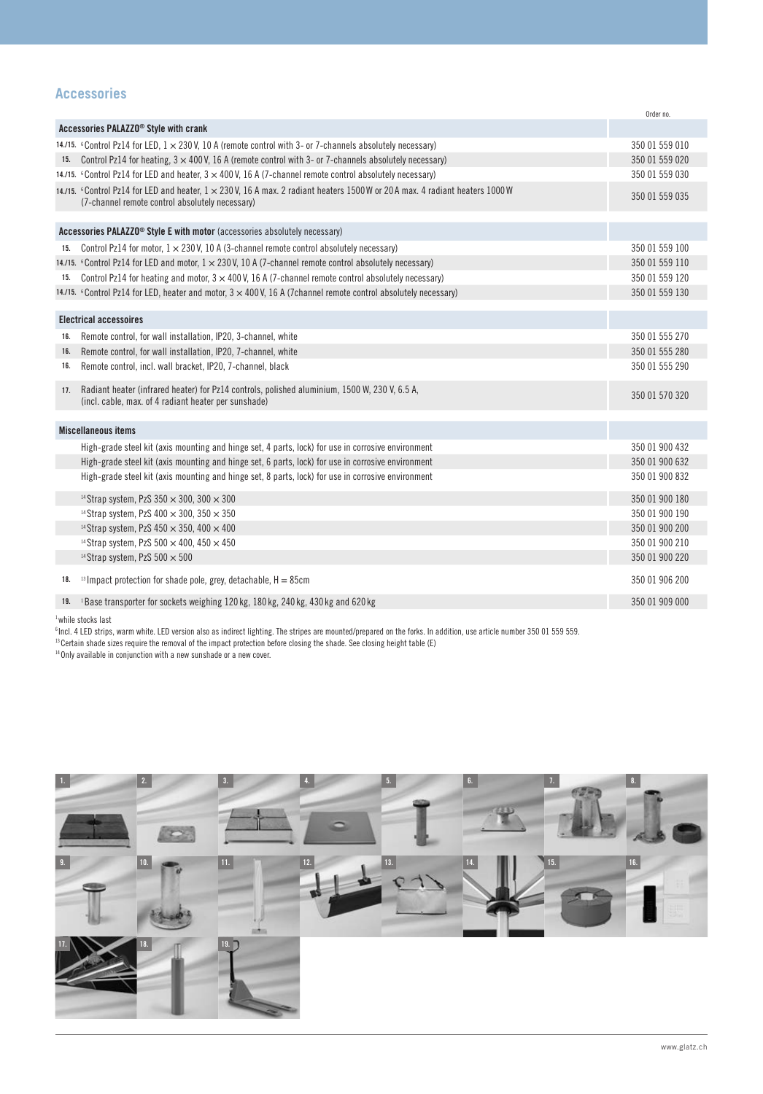## **Accessories**

|     |                                                                                                                                                                                                  | Order no.                        |
|-----|--------------------------------------------------------------------------------------------------------------------------------------------------------------------------------------------------|----------------------------------|
|     | Accessories PALAZZO <sup>®</sup> Style with crank                                                                                                                                                |                                  |
|     | 14./15. Control Pz14 for LED, $1 \times 230$ V, 10 A (remote control with 3- or 7-channels absolutely necessary)                                                                                 | 350 01 559 010                   |
|     | 15. Control Pz14 for heating, $3 \times 400$ V, 16 A (remote control with 3- or 7-channels absolutely necessary)                                                                                 | 350 01 559 020                   |
|     | 14./15. Control Pz14 for LED and heater, $3 \times 400$ V, 16 A (7-channel remote control absolutely necessary)                                                                                  | 350 01 559 030                   |
|     | 14./15. $\degree$ Control Pz14 for LED and heater, $1 \times 230$ V, 16 A max. 2 radiant heaters 1500 W or 20 A max. 4 radiant heaters 1000 W<br>(7-channel remote control absolutely necessary) | 350 01 559 035                   |
|     | Accessories PALAZZO <sup>®</sup> Style E with motor (accessories absolutely necessary)                                                                                                           |                                  |
| 15. | Control Pz14 for motor, $1 \times 230$ V, 10 A (3-channel remote control absolutely necessary)                                                                                                   | 350 01 559 100                   |
|     | 14./15. Control Pz14 for LED and motor, $1 \times 230$ V, 10 A (7-channel remote control absolutely necessary)                                                                                   | 350 01 559 110                   |
|     | 15. Control Pz14 for heating and motor, $3 \times 400$ V, 16 A (7-channel remote control absolutely necessary)                                                                                   | 350 01 559 120                   |
|     | 14./15. Control Pz14 for LED, heater and motor, $3 \times 400$ V, 16 A (7channel remote control absolutely necessary)                                                                            | 350 01 559 130                   |
|     |                                                                                                                                                                                                  |                                  |
|     | <b>Electrical accessoires</b>                                                                                                                                                                    |                                  |
| 16. | Remote control, for wall installation, IP20, 3-channel, white                                                                                                                                    | 350 01 555 270                   |
| 16. | Remote control, for wall installation, IP20, 7-channel, white                                                                                                                                    | 350 01 555 280                   |
| 16. | Remote control, incl. wall bracket, IP20, 7-channel, black                                                                                                                                       | 350 01 555 290                   |
| 17. | Radiant heater (infrared heater) for Pz14 controls, polished aluminium, 1500 W, 230 V, 6.5 A,<br>(incl. cable, max. of 4 radiant heater per sunshade)                                            | 350 01 570 320                   |
|     | <b>Miscellaneous items</b>                                                                                                                                                                       |                                  |
|     | High-grade steel kit (axis mounting and hinge set, 4 parts, lock) for use in corrosive environment                                                                                               | 350 01 900 432                   |
|     | High-grade steel kit (axis mounting and hinge set, 6 parts, lock) for use in corrosive environment                                                                                               | 350 01 900 632                   |
|     | High-grade steel kit (axis mounting and hinge set, 8 parts, lock) for use in corrosive environment                                                                                               | 350 01 900 832                   |
|     |                                                                                                                                                                                                  |                                  |
|     | <sup>14</sup> Strap system, PzS $350 \times 300$ , $300 \times 300$                                                                                                                              | 350 01 900 180                   |
|     | <sup>14</sup> Strap system, PzS $400 \times 300$ , $350 \times 350$<br><sup>14</sup> Strap system, PzS $450 \times 350$ , $400 \times 400$                                                       | 350 01 900 190<br>350 01 900 200 |
|     |                                                                                                                                                                                                  | 350 01 900 210                   |
|     | <sup>14</sup> Strap system, PzS $500 \times 400$ , $450 \times 450$<br><sup>14</sup> Strap system, PzS $500 \times 500$                                                                          | 350 01 900 220                   |
|     |                                                                                                                                                                                                  |                                  |
| 18. | <sup>13</sup> Impact protection for shade pole, grey, detachable, H = 85cm                                                                                                                       | 350 01 906 200                   |
|     | <sup>19.</sup> <sup>1</sup> Base transporter for sockets weighing 120 kg, 180 kg, 240 kg, 430 kg and 620 kg                                                                                      | 350 01 909 000                   |
|     |                                                                                                                                                                                                  |                                  |

1while stocks last

 $^{\rm 6}$ Incl. 4 LED strips, warm white. LED version also as indirect lighting. The stripes are mounted/prepared on the forks. In addition, use article number 350 01 559 559.

<sup>13</sup> Certain shade sizes require the removal of the impact protection before closing the shade. See closing height table (E)

<sup>14</sup> Only available in conjunction with a new sunshade or a new cover.

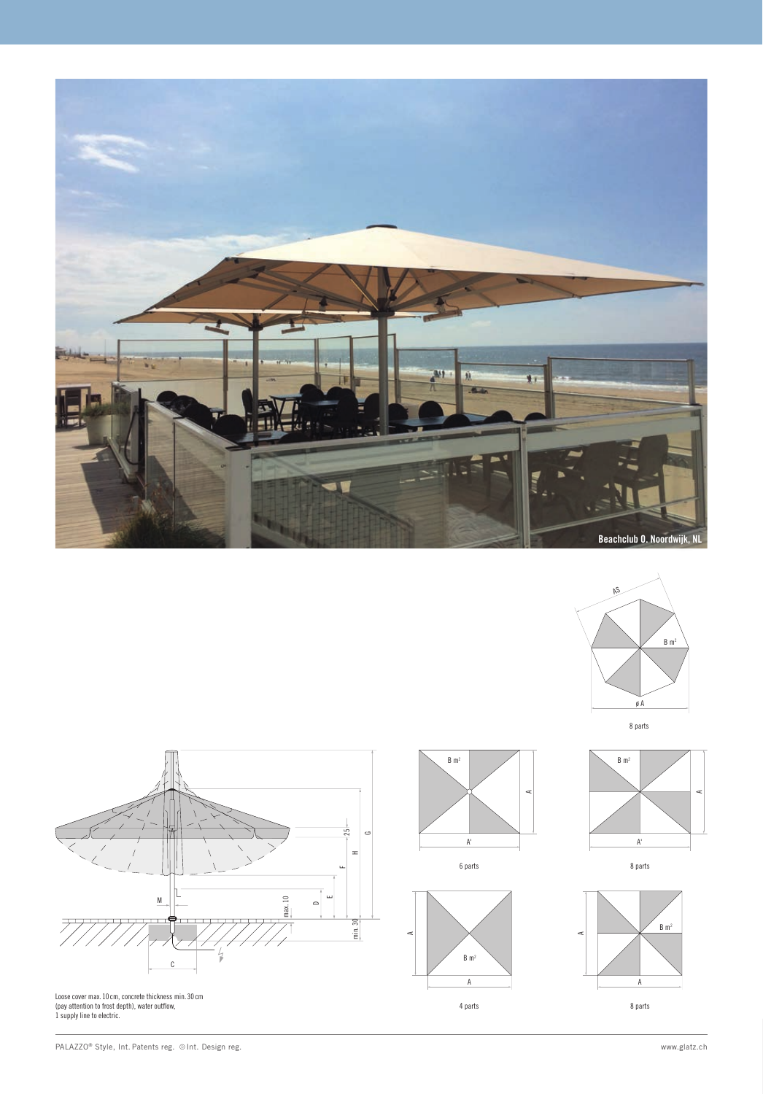

 $B \, \text{m}^2$ 

A'

 $B \, m^2$ A

4 parts

A

A



8 parts









Loose cover max. 10 cm, concrete thickness min. 30 cm (pay attention to frost depth), water outflow, 1 supply line to electric.